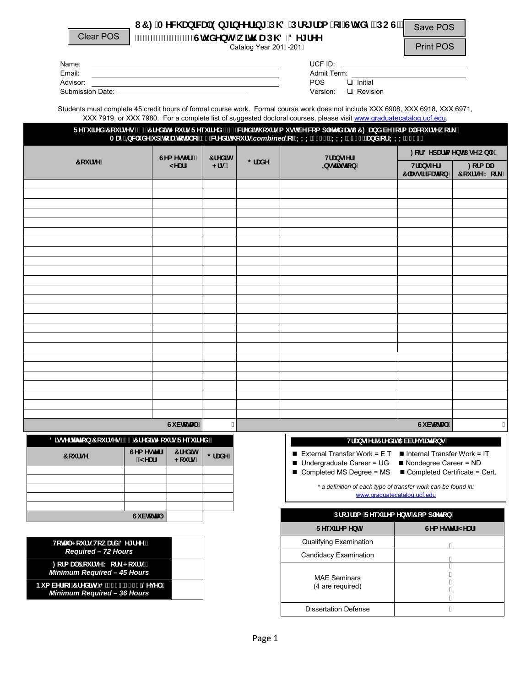| <b>Clear POS</b>                                         |                                                                                                                           |                               |                       | <b>Students with a MS Degree</b><br>Catalog Year 2016-2017 | UCF Mechanical Engineering PhD Program of Study (POS)                                                                                                                                                                                                                                                                                                                                                                                                                    | Save POS<br><b>Print POS</b>                                                         |                    |
|----------------------------------------------------------|---------------------------------------------------------------------------------------------------------------------------|-------------------------------|-----------------------|------------------------------------------------------------|--------------------------------------------------------------------------------------------------------------------------------------------------------------------------------------------------------------------------------------------------------------------------------------------------------------------------------------------------------------------------------------------------------------------------------------------------------------------------|--------------------------------------------------------------------------------------|--------------------|
| Name:<br>Email:                                          | <u> 1989 - Johann Barn, amerikansk politiker (d. 1989)</u><br><u> 1989 - Johann Stoff, amerikansk politiker (d. 1989)</u> |                               |                       |                                                            | UCF ID: $\qquad \qquad$<br>Admit Term: We have a state of the state of the state of the state of the state of the state of the state of the state of the state of the state of the state of the state of the state of the state of the state of the state<br><b>POS</b><br>$\Box$ Initial<br>Version: $\Box$ Revision                                                                                                                                                    |                                                                                      |                    |
|                                                          |                                                                                                                           |                               |                       |                                                            | Students must complete 9 credit hours of formal course work. Formal course work does not include XXX 6908, XXX 6918, XXX 6971,<br>XXX 7919, or XXX 7980. For a complete list of suggested doctoral courses, please visit www.graduatecatalog.ucf.edu.<br>Required Courses (57 Credit Hours Required), 15 credit hours must be completed at UCF and be formal coursework.<br>May Include up to a total of 12 credit hours combined of XXX 6908, XXX 6918, and/or XXX 7919 |                                                                                      |                    |
|                                                          |                                                                                                                           |                               |                       |                                                            |                                                                                                                                                                                                                                                                                                                                                                                                                                                                          | For Department Use Only                                                              |                    |
| <b>Course</b>                                            |                                                                                                                           | Semester /<br>Year            | <b>Credit</b><br>Hrs. | Grade                                                      | <b>Transfer</b><br><b>Institution</b>                                                                                                                                                                                                                                                                                                                                                                                                                                    | <b>Transfer</b><br><b>Formal</b><br><b>Classification</b>                            | <b>Course Work</b> |
|                                                          |                                                                                                                           |                               |                       |                                                            |                                                                                                                                                                                                                                                                                                                                                                                                                                                                          |                                                                                      |                    |
|                                                          |                                                                                                                           |                               |                       |                                                            |                                                                                                                                                                                                                                                                                                                                                                                                                                                                          |                                                                                      |                    |
|                                                          |                                                                                                                           |                               |                       |                                                            |                                                                                                                                                                                                                                                                                                                                                                                                                                                                          |                                                                                      |                    |
|                                                          |                                                                                                                           |                               |                       |                                                            |                                                                                                                                                                                                                                                                                                                                                                                                                                                                          |                                                                                      |                    |
|                                                          |                                                                                                                           |                               |                       |                                                            |                                                                                                                                                                                                                                                                                                                                                                                                                                                                          |                                                                                      |                    |
|                                                          |                                                                                                                           |                               |                       |                                                            |                                                                                                                                                                                                                                                                                                                                                                                                                                                                          |                                                                                      |                    |
|                                                          |                                                                                                                           |                               |                       |                                                            |                                                                                                                                                                                                                                                                                                                                                                                                                                                                          |                                                                                      |                    |
|                                                          |                                                                                                                           |                               |                       |                                                            |                                                                                                                                                                                                                                                                                                                                                                                                                                                                          |                                                                                      |                    |
|                                                          |                                                                                                                           |                               |                       |                                                            |                                                                                                                                                                                                                                                                                                                                                                                                                                                                          |                                                                                      |                    |
|                                                          |                                                                                                                           |                               |                       |                                                            |                                                                                                                                                                                                                                                                                                                                                                                                                                                                          |                                                                                      |                    |
|                                                          |                                                                                                                           |                               |                       |                                                            |                                                                                                                                                                                                                                                                                                                                                                                                                                                                          |                                                                                      |                    |
|                                                          |                                                                                                                           |                               |                       |                                                            |                                                                                                                                                                                                                                                                                                                                                                                                                                                                          |                                                                                      |                    |
|                                                          |                                                                                                                           |                               |                       |                                                            |                                                                                                                                                                                                                                                                                                                                                                                                                                                                          |                                                                                      |                    |
|                                                          |                                                                                                                           |                               |                       |                                                            |                                                                                                                                                                                                                                                                                                                                                                                                                                                                          |                                                                                      |                    |
|                                                          |                                                                                                                           |                               |                       |                                                            |                                                                                                                                                                                                                                                                                                                                                                                                                                                                          |                                                                                      |                    |
|                                                          |                                                                                                                           |                               |                       |                                                            |                                                                                                                                                                                                                                                                                                                                                                                                                                                                          |                                                                                      |                    |
|                                                          |                                                                                                                           |                               |                       |                                                            |                                                                                                                                                                                                                                                                                                                                                                                                                                                                          |                                                                                      |                    |
|                                                          |                                                                                                                           | Subtotal:                     |                       |                                                            |                                                                                                                                                                                                                                                                                                                                                                                                                                                                          | Subtotal:                                                                            |                    |
| <b>Dissertation Courses (15 Credit Hours Required)</b>   |                                                                                                                           |                               |                       |                                                            |                                                                                                                                                                                                                                                                                                                                                                                                                                                                          | <b>Transfer Credit Abbreviations</b>                                                 |                    |
| <b>Course</b>                                            | <b>Semester</b><br>/ Year                                                                                                 | <b>Credit</b><br><b>Hours</b> | Grade                 |                                                            | External Transfer Work = $ET$ = Internal Transfer Work = IT<br>■ Undergraduate Career = UG<br>Completed MS Degree = MS                                                                                                                                                                                                                                                                                                                                                   | $\blacksquare$ Nondegree Career = ND<br>$\blacksquare$ Completed Certificate = Cert. |                    |
|                                                          |                                                                                                                           |                               |                       |                                                            | * a definition of each type of transfer work can be found in:                                                                                                                                                                                                                                                                                                                                                                                                            | www.graduatecatalog.ucf.edu                                                          |                    |
|                                                          |                                                                                                                           |                               |                       |                                                            |                                                                                                                                                                                                                                                                                                                                                                                                                                                                          |                                                                                      |                    |
|                                                          | Subtotal:                                                                                                                 |                               |                       |                                                            | <b>Program Requirements Completion</b>                                                                                                                                                                                                                                                                                                                                                                                                                                   |                                                                                      |                    |
|                                                          |                                                                                                                           |                               |                       |                                                            | <b>Requirement</b><br>Qualifying Examination                                                                                                                                                                                                                                                                                                                                                                                                                             | Semester/Year                                                                        |                    |
| <b>Total Hours Toward Degree:</b><br>Required - 72 Hours |                                                                                                                           |                               |                       |                                                            | Candidacy Examination                                                                                                                                                                                                                                                                                                                                                                                                                                                    |                                                                                      |                    |
|                                                          | <b>Formal Course Work Hours:</b><br>Minimum Required - 39 Hours                                                           |                               |                       |                                                            | <b>MAE Seminars</b>                                                                                                                                                                                                                                                                                                                                                                                                                                                      |                                                                                      |                    |
|                                                          | Number of Credits @ 6000/7000 Level:<br>Minimum Required - 36 Hours                                                       |                               |                       |                                                            | (4 are required)                                                                                                                                                                                                                                                                                                                                                                                                                                                         |                                                                                      |                    |

Dissertation Defense